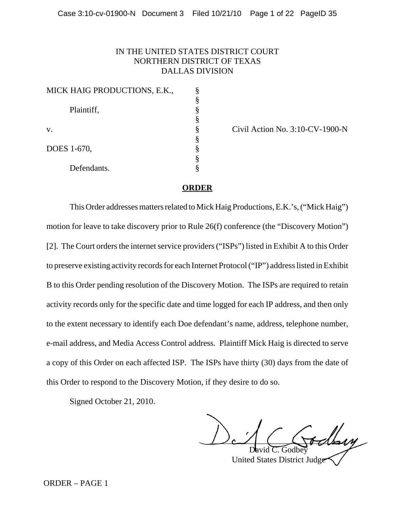#### IN THE UNITED STATES DISTRICT COURT NORTHERN DISTRICT OF TEXAS DALLAS DIVISION

| MICK HAIG PRODUCTIONS, E.K., |   |
|------------------------------|---|
|                              |   |
| Plaintiff,                   |   |
|                              | 8 |
| V.                           |   |
|                              |   |
| DOES 1-670,                  |   |
|                              |   |
| Defendants.                  |   |

Civil Action No.  $3:10$ -CV-1900-N

#### **ORDER**

This Order addresses matters related to Mick Haig Productions, E.K.'s, ("Mick Haig") motion for leave to take discovery prior to Rule 26(f) conference (the "Discovery Motion") [2]. The Court orders the internet service providers ("ISPs") listed in Exhibit A to this Order to preserve existing activity records for each Internet Protocol ("IP") address listed in Exhibit B to this Order pending resolution of the Discovery Motion. The ISPs are required to retain activity records only for the specific date and time logged for each IP address, and then only to the extent necessary to identify each Doe defendant's name, address, telephone number, e-mail address, and Media Access Control address. Plaintiff Mick Haig is directed to serve a copy of this Order on each affected ISP. The ISPs have thirty (30) days from the date of this Order to respond to the Discovery Motion, if they desire to do so.

Signed October 21, 2010.

 $~\dotsc$ 

David C. Godbey United States District Judge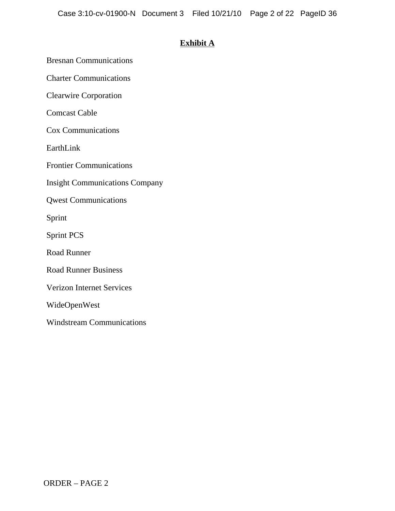#### **Exhibit A**

Bresnan Communications

Charter Communications

Clearwire Corporation

Comcast Cable

Cox Communications

EarthLink

Frontier Communications

Insight Communications Company

Qwest Communications

Sprint

Sprint PCS

Road Runner

Road Runner Business

Verizon Internet Services

WideOpenWest

Windstream Communications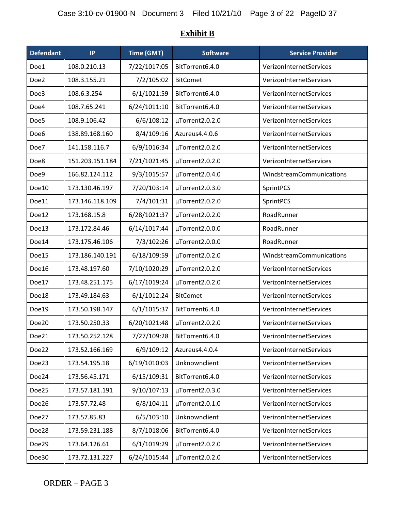| <b>Defendant</b> | IP              | Time (GMT)   | <b>Software</b> | <b>Service Provider</b>  |
|------------------|-----------------|--------------|-----------------|--------------------------|
| Doe1             | 108.0.210.13    | 7/22/1017:05 | BitTorrent6.4.0 | VerizonInternetServices  |
| Doe2             | 108.3.155.21    | 7/2/105:02   | <b>BitComet</b> | VerizonInternetServices  |
| Doe3             | 108.6.3.254     | 6/1/1021:59  | BitTorrent6.4.0 | VerizonInternetServices  |
| Doe4             | 108.7.65.241    | 6/24/1011:10 | BitTorrent6.4.0 | VerizonInternetServices  |
| Doe5             | 108.9.106.42    | 6/6/108:12   | µTorrent2.0.2.0 | VerizonInternetServices  |
| Doe <sub>6</sub> | 138.89.168.160  | 8/4/109:16   | Azureus4.4.0.6  | VerizonInternetServices  |
| Doe7             | 141.158.116.7   | 6/9/1016:34  | µTorrent2.0.2.0 | VerizonInternetServices  |
| Doe8             | 151.203.151.184 | 7/21/1021:45 | µTorrent2.0.2.0 | VerizonInternetServices  |
| Doe9             | 166.82.124.112  | 9/3/1015:57  | µTorrent2.0.4.0 | WindstreamCommunications |
| Doe10            | 173.130.46.197  | 7/20/103:14  | µTorrent2.0.3.0 | SprintPCS                |
| Doe11            | 173.146.118.109 | 7/4/101:31   | µTorrent2.0.2.0 | SprintPCS                |
| Doe12            | 173.168.15.8    | 6/28/1021:37 | µTorrent2.0.2.0 | RoadRunner               |
| Doe13            | 173.172.84.46   | 6/14/1017:44 | µTorrent2.0.0.0 | RoadRunner               |
| Doe14            | 173.175.46.106  | 7/3/102:26   | µTorrent2.0.0.0 | RoadRunner               |
| Doe15            | 173.186.140.191 | 6/18/109:59  | µTorrent2.0.2.0 | WindstreamCommunications |
| Doe16            | 173.48.197.60   | 7/10/1020:29 | µTorrent2.0.2.0 | VerizonInternetServices  |
| Doe17            | 173.48.251.175  | 6/17/1019:24 | µTorrent2.0.2.0 | VerizonInternetServices  |
| Doe18            | 173.49.184.63   | 6/1/1012:24  | <b>BitComet</b> | VerizonInternetServices  |
| Doe19            | 173.50.198.147  | 6/1/1015:37  | BitTorrent6.4.0 | VerizonInternetServices  |
| Doe20            | 173.50.250.33   | 6/20/1021:48 | µTorrent2.0.2.0 | VerizonInternetServices  |
| Doe21            | 173.50.252.128  | 7/27/109:28  | BitTorrent6.4.0 | VerizonInternetServices  |
| Doe22            | 173.52.166.169  | 6/9/109:12   | Azureus4.4.0.4  | VerizonInternetServices  |
| Doe23            | 173.54.195.18   | 6/19/1010:03 | Unknownclient   | VerizonInternetServices  |
| Doe24            | 173.56.45.171   | 6/15/109:31  | BitTorrent6.4.0 | VerizonInternetServices  |
| Doe25            | 173.57.181.191  | 9/10/107:13  | µTorrent2.0.3.0 | VerizonInternetServices  |
| Doe26            | 173.57.72.48    | 6/8/104:11   | µTorrent2.0.1.0 | VerizonInternetServices  |
| Doe27            | 173.57.85.83    | 6/5/103:10   | Unknownclient   | VerizonInternetServices  |
| Doe28            | 173.59.231.188  | 8/7/1018:06  | BitTorrent6.4.0 | VerizonInternetServices  |
| Doe29            | 173.64.126.61   | 6/1/1019:29  | µTorrent2.0.2.0 | VerizonInternetServices  |
| Doe30            | 173.72.131.227  | 6/24/1015:44 | µTorrent2.0.2.0 | VerizonInternetServices  |

### **Exhibit B**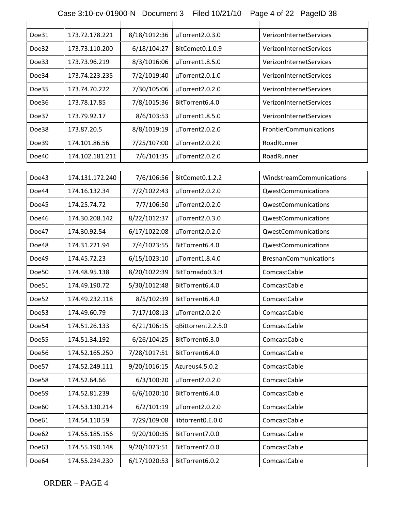| Case 3:10-cv-01900-N  Document 3  Filed 10/21/10  Page 4 of 22  PageID 38 |  |  |
|---------------------------------------------------------------------------|--|--|
|                                                                           |  |  |

| Doe31 | 173.72.178.221  | 8/18/1012:36 | µTorrent2.0.3.0    | VerizonInternetServices       |
|-------|-----------------|--------------|--------------------|-------------------------------|
| Doe32 | 173.73.110.200  | 6/18/104:27  | BitComet0.1.0.9    | VerizonInternetServices       |
| Doe33 | 173.73.96.219   | 8/3/1016:06  | µTorrent1.8.5.0    | VerizonInternetServices       |
| Doe34 | 173.74.223.235  | 7/2/1019:40  | µTorrent2.0.1.0    | VerizonInternetServices       |
| Doe35 | 173.74.70.222   | 7/30/105:06  | µTorrent2.0.2.0    | VerizonInternetServices       |
| Doe36 | 173.78.17.85    | 7/8/1015:36  | BitTorrent6.4.0    | VerizonInternetServices       |
| Doe37 | 173.79.92.17    | 8/6/103:53   | µTorrent1.8.5.0    | VerizonInternetServices       |
| Doe38 | 173.87.20.5     | 8/8/1019:19  | µTorrent2.0.2.0    | <b>FrontierCommunications</b> |
| Doe39 | 174.101.86.56   | 7/25/107:00  | µTorrent2.0.2.0    | RoadRunner                    |
| Doe40 | 174.102.181.211 | 7/6/101:35   | µTorrent2.0.2.0    | RoadRunner                    |
|       |                 |              |                    |                               |
| Doe43 | 174.131.172.240 | 7/6/106:56   | BitComet0.1.2.2    | WindstreamCommunications      |
| Doe44 | 174.16.132.34   | 7/2/1022:43  | µTorrent2.0.2.0    | QwestCommunications           |
| Doe45 | 174.25.74.72    | 7/7/106:50   | µTorrent2.0.2.0    | QwestCommunications           |
| Doe46 | 174.30.208.142  | 8/22/1012:37 | µTorrent2.0.3.0    | QwestCommunications           |
| Doe47 | 174.30.92.54    | 6/17/1022:08 | µTorrent2.0.2.0    | QwestCommunications           |
| Doe48 | 174.31.221.94   | 7/4/1023:55  | BitTorrent6.4.0    | QwestCommunications           |
| Doe49 | 174.45.72.23    | 6/15/1023:10 | µTorrent1.8.4.0    | <b>BresnanCommunications</b>  |
| Doe50 | 174.48.95.138   | 8/20/1022:39 | BitTornado0.3.H    | ComcastCable                  |
| Doe51 | 174.49.190.72   | 5/30/1012:48 | BitTorrent6.4.0    | ComcastCable                  |
| Doe52 | 174.49.232.118  | 8/5/102:39   | BitTorrent6.4.0    | ComcastCable                  |
| Doe53 | 174.49.60.79    | 7/17/108:13  | µTorrent2.0.2.0    | ComcastCable                  |
| Doe54 | 174.51.26.133   | 6/21/106:15  | qBittorrent2.2.5.0 | ComcastCable                  |
| Doe55 | 174.51.34.192   | 6/26/104:25  | BitTorrent6.3.0    | ComcastCable                  |
| Doe56 | 174.52.165.250  | 7/28/1017:51 | BitTorrent6.4.0    | ComcastCable                  |
| Doe57 | 174.52.249.111  | 9/20/1016:15 | Azureus4.5.0.2     | ComcastCable                  |
| Doe58 | 174.52.64.66    | 6/3/100:20   | µTorrent2.0.2.0    | ComcastCable                  |
| Doe59 | 174.52.81.239   | 6/6/1020:10  | BitTorrent6.4.0    | ComcastCable                  |
| Doe60 | 174.53.130.214  | 6/2/101:19   | µTorrent2.0.2.0    | ComcastCable                  |
| Doe61 | 174.54.110.59   | 7/29/109:08  | libtorrent0.E.0.0  | ComcastCable                  |
| Doe62 | 174.55.185.156  | 9/20/100:35  | BitTorrent7.0.0    | ComcastCable                  |
| Doe63 | 174.55.190.148  | 9/20/1023:51 | BitTorrent7.0.0    | ComcastCable                  |
| Doe64 | 174.55.234.230  | 6/17/1020:53 | BitTorrent6.0.2    | ComcastCable                  |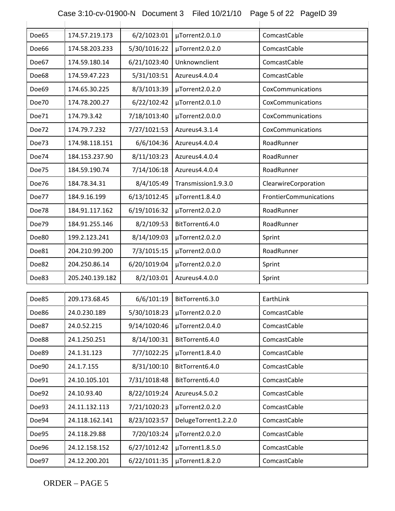| Doe65 | 174.57.219.173  | 6/2/1023:01  | µTorrent2.0.1.0      | ComcastCable           |
|-------|-----------------|--------------|----------------------|------------------------|
| Doe66 | 174.58.203.233  | 5/30/1016:22 | µTorrent2.0.2.0      | ComcastCable           |
| Doe67 | 174.59.180.14   | 6/21/1023:40 | Unknownclient        | ComcastCable           |
| Doe68 | 174.59.47.223   | 5/31/103:51  | Azureus4.4.0.4       | ComcastCable           |
| Doe69 | 174.65.30.225   | 8/3/1013:39  | µTorrent2.0.2.0      | CoxCommunications      |
| Doe70 | 174.78.200.27   | 6/22/102:42  | µTorrent2.0.1.0      | CoxCommunications      |
| Doe71 | 174.79.3.42     | 7/18/1013:40 | µTorrent2.0.0.0      | CoxCommunications      |
| Doe72 | 174.79.7.232    | 7/27/1021:53 | Azureus4.3.1.4       | CoxCommunications      |
| Doe73 | 174.98.118.151  | 6/6/104:36   | Azureus4.4.0.4       | RoadRunner             |
| Doe74 | 184.153.237.90  | 8/11/103:23  | Azureus4.4.0.4       | RoadRunner             |
| Doe75 | 184.59.190.74   | 7/14/106:18  | Azureus4.4.0.4       | RoadRunner             |
| Doe76 | 184.78.34.31    | 8/4/105:49   | Transmission1.9.3.0  | ClearwireCorporation   |
| Doe77 | 184.9.16.199    | 6/13/1012:45 | µTorrent1.8.4.0      | FrontierCommunications |
| Doe78 | 184.91.117.162  | 6/19/1016:32 | µTorrent2.0.2.0      | RoadRunner             |
| Doe79 | 184.91.255.146  | 8/2/109:53   | BitTorrent6.4.0      | RoadRunner             |
| Doe80 | 199.2.123.241   | 8/14/109:03  | µTorrent2.0.2.0      | Sprint                 |
| Doe81 | 204.210.99.200  | 7/3/1015:15  | µTorrent2.0.0.0      | RoadRunner             |
| Doe82 | 204.250.86.14   | 6/20/1019:04 | µTorrent2.0.2.0      | Sprint                 |
| Doe83 | 205.240.139.182 | 8/2/103:01   | Azureus4.4.0.0       | Sprint                 |
|       |                 |              |                      |                        |
| Doe85 | 209.173.68.45   | 6/6/101:19   | BitTorrent6.3.0      | EarthLink              |
| Doe86 | 24.0.230.189    | 5/30/1018:23 | µTorrent2.0.2.0      | ComcastCable           |
| Doe87 | 24.0.52.215     | 9/14/1020:46 | µTorrent2.0.4.0      | ComcastCable           |
| Doe88 | 24.1.250.251    | 8/14/100:31  | BitTorrent6.4.0      | ComcastCable           |
| Doe89 | 24.1.31.123     | 7/7/1022:25  | µTorrent1.8.4.0      | ComcastCable           |
| Doe90 | 24.1.7.155      | 8/31/100:10  | BitTorrent6.4.0      | ComcastCable           |
| Doe91 | 24.10.105.101   | 7/31/1018:48 | BitTorrent6.4.0      | ComcastCable           |
| Doe92 | 24.10.93.40     | 8/22/1019:24 | Azureus4.5.0.2       | ComcastCable           |
| Doe93 | 24.11.132.113   | 7/21/1020:23 | µTorrent2.0.2.0      | ComcastCable           |
| Doe94 | 24.118.162.141  | 8/23/1023:57 | DelugeTorrent1.2.2.0 | ComcastCable           |
| Doe95 | 24.118.29.88    | 7/20/103:24  | µTorrent2.0.2.0      | ComcastCable           |
| Doe96 | 24.12.158.152   | 6/27/1012:42 | µTorrent1.8.5.0      | ComcastCable           |
| Doe97 | 24.12.200.201   | 6/22/1011:35 | $\mu$ Torrent1.8.2.0 | ComcastCable           |

Case 3:10-cv-01900-N Document 3 Filed 10/21/10 Page 5 of 22 PageID 39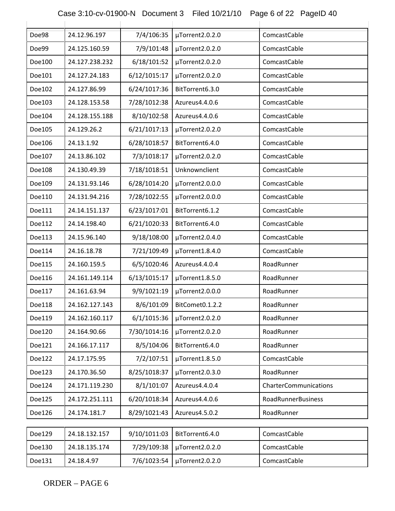| Case 3:10-cv-01900-N Document 3 Filed 10/21/10 Page 6 of 22 PageID 40 |  |  |
|-----------------------------------------------------------------------|--|--|
|                                                                       |  |  |

| Doe98  | 24.12.96.197   | 7/4/106:35   | µTorrent2.0.2.0 | ComcastCable              |
|--------|----------------|--------------|-----------------|---------------------------|
| Doe99  | 24.125.160.59  | 7/9/101:48   | µTorrent2.0.2.0 | ComcastCable              |
| Doe100 | 24.127.238.232 | 6/18/101:52  | µTorrent2.0.2.0 | ComcastCable              |
| Doe101 | 24.127.24.183  | 6/12/1015:17 | µTorrent2.0.2.0 | ComcastCable              |
| Doe102 | 24.127.86.99   | 6/24/1017:36 | BitTorrent6.3.0 | ComcastCable              |
| Doe103 | 24.128.153.58  | 7/28/1012:38 | Azureus4.4.0.6  | ComcastCable              |
| Doe104 | 24.128.155.188 | 8/10/102:58  | Azureus4.4.0.6  | ComcastCable              |
| Doe105 | 24.129.26.2    | 6/21/1017:13 | µTorrent2.0.2.0 | ComcastCable              |
| Doe106 | 24.13.1.92     | 6/28/1018:57 | BitTorrent6.4.0 | ComcastCable              |
| Doe107 | 24.13.86.102   | 7/3/1018:17  | µTorrent2.0.2.0 | ComcastCable              |
| Doe108 | 24.130.49.39   | 7/18/1018:51 | Unknownclient   | ComcastCable              |
| Doe109 | 24.131.93.146  | 6/28/1014:20 | µTorrent2.0.0.0 | ComcastCable              |
| Doe110 | 24.131.94.216  | 7/28/1022:55 | µTorrent2.0.0.0 | ComcastCable              |
| Doe111 | 24.14.151.137  | 6/23/1017:01 | BitTorrent6.1.2 | ComcastCable              |
| Doe112 | 24.14.198.40   | 6/21/1020:33 | BitTorrent6.4.0 | ComcastCable              |
| Doe113 | 24.15.96.140   | 9/18/108:00  | µTorrent2.0.4.0 | ComcastCable              |
| Doe114 | 24.16.18.78    | 7/21/109:49  | µTorrent1.8.4.0 | ComcastCable              |
| Doe115 | 24.160.159.5   | 6/5/1020:46  | Azureus4.4.0.4  | RoadRunner                |
| Doe116 | 24.161.149.114 | 6/13/1015:17 | µTorrent1.8.5.0 | RoadRunner                |
| Doe117 | 24.161.63.94   | 9/9/1021:19  | µTorrent2.0.0.0 | RoadRunner                |
| Doe118 | 24.162.127.143 | 8/6/101:09   | BitComet0.1.2.2 | RoadRunner                |
| Doe119 | 24.162.160.117 | 6/1/1015:36  | µTorrent2.0.2.0 | RoadRunner                |
| Doe120 | 24.164.90.66   | 7/30/1014:16 | µTorrent2.0.2.0 | RoadRunner                |
| Doe121 | 24.166.17.117  | 8/5/104:06   | BitTorrent6.4.0 | RoadRunner                |
| Doe122 | 24.17.175.95   | 7/2/107:51   | µTorrent1.8.5.0 | ComcastCable              |
| Doe123 | 24.170.36.50   | 8/25/1018:37 | µTorrent2.0.3.0 | RoadRunner                |
| Doe124 | 24.171.119.230 | 8/1/101:07   | Azureus4.4.0.4  | CharterCommunications     |
| Doe125 | 24.172.251.111 | 6/20/1018:34 | Azureus4.4.0.6  | <b>RoadRunnerBusiness</b> |
| Doe126 | 24.174.181.7   | 8/29/1021:43 | Azureus4.5.0.2  | RoadRunner                |
|        |                |              |                 |                           |
| Doe129 | 24.18.132.157  | 9/10/1011:03 | BitTorrent6.4.0 | ComcastCable              |
| Doe130 | 24.18.135.174  | 7/29/109:38  | µTorrent2.0.2.0 | ComcastCable              |
| Doe131 | 24.18.4.97     | 7/6/1023:54  | µTorrent2.0.2.0 | ComcastCable              |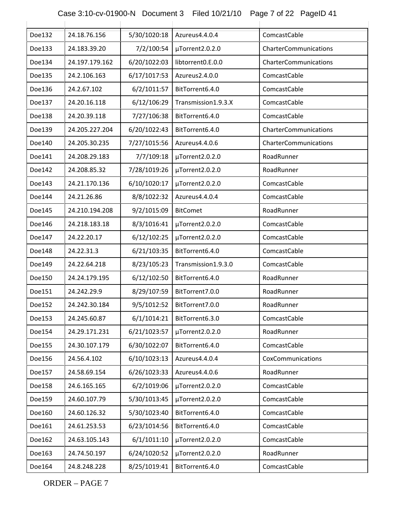| Case 3:10-cv-01900-N  Document 3  Filed 10/21/10  Page 7 of 22  PageID 41 |  |  |
|---------------------------------------------------------------------------|--|--|
|                                                                           |  |  |

| Doe132 | 24.18.76.156   | 5/30/1020:18 | Azureus4.4.0.4      | ComcastCable          |
|--------|----------------|--------------|---------------------|-----------------------|
| Doe133 | 24.183.39.20   | 7/2/100:54   | µTorrent2.0.2.0     | CharterCommunications |
| Doe134 | 24.197.179.162 | 6/20/1022:03 | libtorrent0.E.0.0   | CharterCommunications |
| Doe135 | 24.2.106.163   | 6/17/1017:53 | Azureus2.4.0.0      | ComcastCable          |
| Doe136 | 24.2.67.102    | 6/2/1011:57  | BitTorrent6.4.0     | ComcastCable          |
| Doe137 | 24.20.16.118   | 6/12/106:29  | Transmission1.9.3.X | ComcastCable          |
| Doe138 | 24.20.39.118   | 7/27/106:38  | BitTorrent6.4.0     | ComcastCable          |
| Doe139 | 24.205.227.204 | 6/20/1022:43 | BitTorrent6.4.0     | CharterCommunications |
| Doe140 | 24.205.30.235  | 7/27/1015:56 | Azureus4.4.0.6      | CharterCommunications |
| Doe141 | 24.208.29.183  | 7/7/109:18   | µTorrent2.0.2.0     | RoadRunner            |
| Doe142 | 24.208.85.32   | 7/28/1019:26 | µTorrent2.0.2.0     | RoadRunner            |
| Doe143 | 24.21.170.136  | 6/10/1020:17 | µTorrent2.0.2.0     | ComcastCable          |
| Doe144 | 24.21.26.86    | 8/8/1022:32  | Azureus4.4.0.4      | ComcastCable          |
| Doe145 | 24.210.194.208 | 9/2/1015:09  | <b>BitComet</b>     | RoadRunner            |
| Doe146 | 24.218.183.18  | 8/3/1016:41  | µTorrent2.0.2.0     | ComcastCable          |
| Doe147 | 24.22.20.17    | 6/12/102:25  | µTorrent2.0.2.0     | ComcastCable          |
| Doe148 | 24.22.31.3     | 6/21/103:35  | BitTorrent6.4.0     | ComcastCable          |
| Doe149 | 24.22.64.218   | 8/23/105:23  | Transmission1.9.3.0 | ComcastCable          |
| Doe150 | 24.24.179.195  | 6/12/102:50  | BitTorrent6.4.0     | RoadRunner            |
| Doe151 | 24.242.29.9    | 8/29/107:59  | BitTorrent7.0.0     | RoadRunner            |
| Doe152 | 24.242.30.184  | 9/5/1012:52  | BitTorrent7.0.0     | RoadRunner            |
| Doe153 | 24.245.60.87   | 6/1/1014:21  | BitTorrent6.3.0     | ComcastCable          |
| Doe154 | 24.29.171.231  | 6/21/1023:57 | µTorrent2.0.2.0     | RoadRunner            |
| Doe155 | 24.30.107.179  | 6/30/1022:07 | BitTorrent6.4.0     | ComcastCable          |
| Doe156 | 24.56.4.102    | 6/10/1023:13 | Azureus4.4.0.4      | CoxCommunications     |
| Doe157 | 24.58.69.154   | 6/26/1023:33 | Azureus4.4.0.6      | RoadRunner            |
| Doe158 | 24.6.165.165   | 6/2/1019:06  | µTorrent2.0.2.0     | ComcastCable          |
| Doe159 | 24.60.107.79   | 5/30/1013:45 | µTorrent2.0.2.0     | ComcastCable          |
| Doe160 | 24.60.126.32   | 5/30/1023:40 | BitTorrent6.4.0     | ComcastCable          |
| Doe161 | 24.61.253.53   | 6/23/1014:56 | BitTorrent6.4.0     | ComcastCable          |
| Doe162 | 24.63.105.143  | 6/1/1011:10  | µTorrent2.0.2.0     | ComcastCable          |
| Doe163 | 24.74.50.197   | 6/24/1020:52 | µTorrent2.0.2.0     | RoadRunner            |
| Doe164 | 24.8.248.228   | 8/25/1019:41 | BitTorrent6.4.0     | ComcastCable          |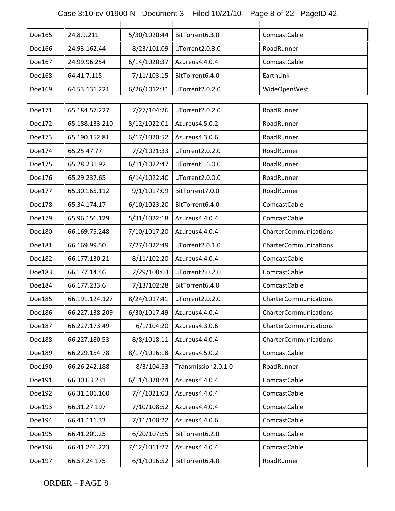### Case 3:10-cv-01900-N Document 3 Filed 10/21/10 Page 8 of 22 PageID 42

| Doe165 | 24.8.9.211     | 5/30/1020:44 | BitTorrent6.3.0     | ComcastCable          |
|--------|----------------|--------------|---------------------|-----------------------|
| Doe166 | 24.93.162.44   | 8/23/101:09  | µTorrent2.0.3.0     | RoadRunner            |
| Doe167 | 24.99.96.254   | 6/14/1020:37 | Azureus4.4.0.4      | ComcastCable          |
| Doe168 | 64.41.7.115    | 7/11/103:15  | BitTorrent6.4.0     | EarthLink             |
| Doe169 | 64.53.131.221  | 6/26/1012:31 | µTorrent2.0.2.0     | WideOpenWest          |
|        |                |              |                     |                       |
| Doe171 | 65.184.57.227  | 7/27/104:26  | µTorrent2.0.2.0     | RoadRunner            |
| Doe172 | 65.188.133.210 | 8/12/1022:01 | Azureus4.5.0.2      | RoadRunner            |
| Doe173 | 65.190.152.81  | 6/17/1020:52 | Azureus4.3.0.6      | RoadRunner            |
| Doe174 | 65.25.47.77    | 7/2/1021:33  | µTorrent2.0.2.0     | RoadRunner            |
| Doe175 | 65.28.231.92   | 6/11/1022:47 | µTorrent1.6.0.0     | RoadRunner            |
| Doe176 | 65.29.237.65   | 6/14/1022:40 | µTorrent2.0.0.0     | RoadRunner            |
| Doe177 | 65.30.165.112  | 9/1/1017:09  | BitTorrent7.0.0     | RoadRunner            |
| Doe178 | 65.34.174.17   | 6/10/1023:20 | BitTorrent6.4.0     | ComcastCable          |
| Doe179 | 65.96.156.129  | 5/31/1022:18 | Azureus4.4.0.4      | ComcastCable          |
| Doe180 | 66.169.75.248  | 7/10/1017:20 | Azureus4.4.0.4      | CharterCommunications |
| Doe181 | 66.169.99.50   | 7/27/1022:49 | µTorrent2.0.1.0     | CharterCommunications |
| Doe182 | 66.177.130.21  | 8/11/102:20  | Azureus4.4.0.4      | ComcastCable          |
| Doe183 | 66.177.14.46   | 7/29/108:03  | µTorrent2.0.2.0     | ComcastCable          |
| Doe184 | 66.177.233.6   | 7/13/102:28  | BitTorrent6.4.0     | ComcastCable          |
| Doe185 | 66.191.124.127 | 8/24/1017:41 | µTorrent2.0.2.0     | CharterCommunications |
| Doe186 | 66.227.138.209 | 6/30/1017:49 | Azureus4.4.0.4      | CharterCommunications |
| Doe187 | 66.227.173.49  | 6/1/104:20   | Azureus4.3.0.6      | CharterCommunications |
| Doe188 | 66.227.180.53  | 8/8/1018:11  | Azureus4.4.0.4      | CharterCommunications |
| Doe189 | 66.229.154.78  | 8/17/1016:18 | Azureus4.5.0.2      | ComcastCable          |
| Doe190 | 66.26.242.188  | 8/3/104:53   | Transmission2.0.1.0 | RoadRunner            |
| Doe191 | 66.30.63.231   | 6/11/1020:24 | Azureus4.4.0.4      | ComcastCable          |
| Doe192 | 66.31.101.160  | 7/4/1021:03  | Azureus4.4.0.4      | ComcastCable          |
| Doe193 | 66.31.27.197   | 7/10/108:52  | Azureus4.4.0.4      | ComcastCable          |
| Doe194 | 66.41.111.33   | 7/11/100:22  | Azureus4.4.0.6      | ComcastCable          |
| Doe195 | 66.41.209.25   | 6/20/107:55  | BitTorrent6.2.0     | ComcastCable          |
| Doe196 | 66.41.246.223  | 7/12/1011:27 | Azureus4.4.0.4      | ComcastCable          |
| Doe197 | 66.57.24.175   | 6/1/1016:52  | BitTorrent6.4.0     | RoadRunner            |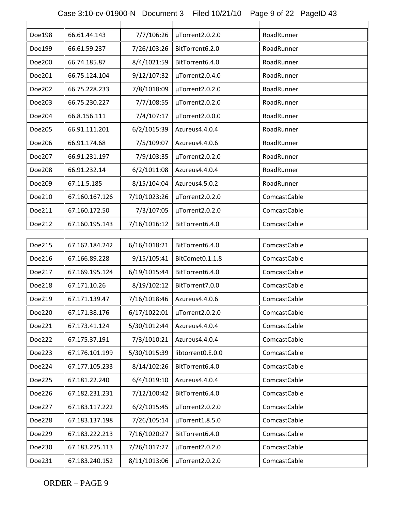### Case 3:10-cv-01900-N Document 3 Filed 10/21/10 Page 9 of 22 PageID 43

| Doe198 | 66.61.44.143   | 7/7/106:26   | µTorrent2.0.2.0   | RoadRunner   |
|--------|----------------|--------------|-------------------|--------------|
| Doe199 | 66.61.59.237   | 7/26/103:26  | BitTorrent6.2.0   | RoadRunner   |
| Doe200 | 66.74.185.87   | 8/4/1021:59  | BitTorrent6.4.0   | RoadRunner   |
| Doe201 | 66.75.124.104  | 9/12/107:32  | µTorrent2.0.4.0   | RoadRunner   |
| Doe202 | 66.75.228.233  | 7/8/1018:09  | µTorrent2.0.2.0   | RoadRunner   |
| Doe203 | 66.75.230.227  | 7/7/108:55   | µTorrent2.0.2.0   | RoadRunner   |
| Doe204 | 66.8.156.111   | 7/4/107:17   | µTorrent2.0.0.0   | RoadRunner   |
| Doe205 | 66.91.111.201  | 6/2/1015:39  | Azureus4.4.0.4    | RoadRunner   |
| Doe206 | 66.91.174.68   | 7/5/109:07   | Azureus4.4.0.6    | RoadRunner   |
| Doe207 | 66.91.231.197  | 7/9/103:35   | µTorrent2.0.2.0   | RoadRunner   |
| Doe208 | 66.91.232.14   | 6/2/1011:08  | Azureus4.4.0.4    | RoadRunner   |
| Doe209 | 67.11.5.185    | 8/15/104:04  | Azureus4.5.0.2    | RoadRunner   |
| Doe210 | 67.160.167.126 | 7/10/1023:26 | µTorrent2.0.2.0   | ComcastCable |
| Doe211 | 67.160.172.50  | 7/3/107:05   | µTorrent2.0.2.0   | ComcastCable |
| Doe212 | 67.160.195.143 | 7/16/1016:12 | BitTorrent6.4.0   | ComcastCable |
|        |                |              |                   |              |
| Doe215 | 67.162.184.242 | 6/16/1018:21 | BitTorrent6.4.0   | ComcastCable |
| Doe216 | 67.166.89.228  | 9/15/105:41  | BitComet0.1.1.8   | ComcastCable |
| Doe217 | 67.169.195.124 | 6/19/1015:44 | BitTorrent6.4.0   | ComcastCable |
| Doe218 | 67.171.10.26   | 8/19/102:12  | BitTorrent7.0.0   | ComcastCable |
| Doe219 | 67.171.139.47  | 7/16/1018:46 | Azureus4.4.0.6    | ComcastCable |
| Doe220 | 67.171.38.176  | 6/17/1022:01 | µTorrent2.0.2.0   | ComcastCable |
| Doe221 | 67.173.41.124  | 5/30/1012:44 | Azureus4.4.0.4    | ComcastCable |
| Doe222 | 67.175.37.191  | 7/3/1010:21  | Azureus4.4.0.4    | ComcastCable |
| Doe223 | 67.176.101.199 | 5/30/1015:39 | libtorrent0.E.0.0 | ComcastCable |
| Doe224 | 67.177.105.233 | 8/14/102:26  | BitTorrent6.4.0   | ComcastCable |
| Doe225 | 67.181.22.240  | 6/4/1019:10  | Azureus4.4.0.4    | ComcastCable |
| Doe226 | 67.182.231.231 | 7/12/100:42  | BitTorrent6.4.0   | ComcastCable |
| Doe227 | 67.183.117.222 | 6/2/1015:45  | µTorrent2.0.2.0   | ComcastCable |
| Doe228 | 67.183.137.198 | 7/26/105:14  | µTorrent1.8.5.0   | ComcastCable |
| Doe229 | 67.183.222.213 | 7/16/1020:27 | BitTorrent6.4.0   | ComcastCable |
| Doe230 | 67.183.225.113 | 7/26/1017:27 | µTorrent2.0.2.0   | ComcastCable |
| Doe231 | 67.183.240.152 | 8/11/1013:06 | µTorrent2.0.2.0   | ComcastCable |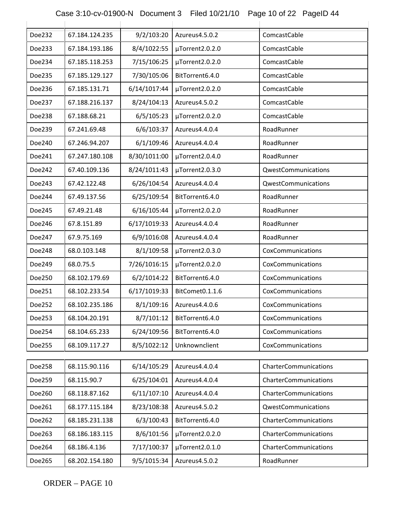# Case 3:10-cv-01900-N Document 3 Filed 10/21/10 Page 10 of 22 PageID 44

| Doe232 | 67.184.124.235 | 9/2/103:20   | Azureus4.5.0.2  | ComcastCable          |
|--------|----------------|--------------|-----------------|-----------------------|
| Doe233 | 67.184.193.186 | 8/4/1022:55  | µTorrent2.0.2.0 | ComcastCable          |
| Doe234 | 67.185.118.253 | 7/15/106:25  | µTorrent2.0.2.0 | ComcastCable          |
| Doe235 | 67.185.129.127 | 7/30/105:06  | BitTorrent6.4.0 | ComcastCable          |
| Doe236 | 67.185.131.71  | 6/14/1017:44 | µTorrent2.0.2.0 | ComcastCable          |
| Doe237 | 67.188.216.137 | 8/24/104:13  | Azureus4.5.0.2  | ComcastCable          |
| Doe238 | 67.188.68.21   | 6/5/105:23   | µTorrent2.0.2.0 | ComcastCable          |
| Doe239 | 67.241.69.48   | 6/6/103:37   | Azureus4.4.0.4  | RoadRunner            |
| Doe240 | 67.246.94.207  | 6/1/109:46   | Azureus4.4.0.4  | RoadRunner            |
| Doe241 | 67.247.180.108 | 8/30/1011:00 | µTorrent2.0.4.0 | RoadRunner            |
| Doe242 | 67.40.109.136  | 8/24/1011:43 | µTorrent2.0.3.0 | QwestCommunications   |
| Doe243 | 67.42.122.48   | 6/26/104:54  | Azureus4.4.0.4  | QwestCommunications   |
| Doe244 | 67.49.137.56   | 6/25/109:54  | BitTorrent6.4.0 | RoadRunner            |
| Doe245 | 67.49.21.48    | 6/16/105:44  | µTorrent2.0.2.0 | RoadRunner            |
| Doe246 | 67.8.151.89    | 6/17/1019:33 | Azureus4.4.0.4  | RoadRunner            |
| Doe247 | 67.9.75.169    | 6/9/1016:08  | Azureus4.4.0.4  | RoadRunner            |
| Doe248 | 68.0.103.148   | 8/1/109:58   | µTorrent2.0.3.0 | CoxCommunications     |
| Doe249 | 68.0.75.5      | 7/26/1016:15 | µTorrent2.0.2.0 | CoxCommunications     |
| Doe250 | 68.102.179.69  | 6/2/1014:22  | BitTorrent6.4.0 | CoxCommunications     |
| Doe251 | 68.102.233.54  | 6/17/1019:33 | BitComet0.1.1.6 | CoxCommunications     |
| Doe252 | 68.102.235.186 | 8/1/109:16   | Azureus4.4.0.6  | CoxCommunications     |
| Doe253 | 68.104.20.191  | 8/7/101:12   | BitTorrent6.4.0 | CoxCommunications     |
| Doe254 | 68.104.65.233  | 6/24/109:56  | BitTorrent6.4.0 | CoxCommunications     |
| Doe255 | 68.109.117.27  | 8/5/1022:12  | Unknownclient   | CoxCommunications     |
|        |                |              |                 |                       |
| Doe258 | 68.115.90.116  | 6/14/105:29  | Azureus4.4.0.4  | CharterCommunications |
| Doe259 | 68.115.90.7    | 6/25/104:01  | Azureus4.4.0.4  | CharterCommunications |
| Doe260 | 68.118.87.162  | 6/11/107:10  | Azureus4.4.0.4  | CharterCommunications |
| Doe261 | 68.177.115.184 | 8/23/108:38  | Azureus4.5.0.2  | QwestCommunications   |
| Doe262 | 68.185.231.138 | 6/3/100:43   | BitTorrent6.4.0 | CharterCommunications |
| Doe263 | 68.186.183.115 | 8/6/101:56   | µTorrent2.0.2.0 | CharterCommunications |
| Doe264 | 68.186.4.136   | 7/17/100:37  | µTorrent2.0.1.0 | CharterCommunications |
| Doe265 | 68.202.154.180 | 9/5/1015:34  | Azureus4.5.0.2  | RoadRunner            |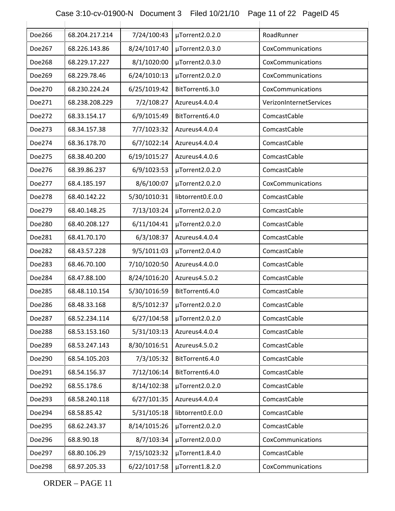# Case 3:10-cv-01900-N Document 3 Filed 10/21/10 Page 11 of 22 PageID 45

| Doe266 | 68.204.217.214 | 7/24/100:43  | µTorrent2.0.2.0   | RoadRunner              |
|--------|----------------|--------------|-------------------|-------------------------|
| Doe267 | 68.226.143.86  | 8/24/1017:40 | µTorrent2.0.3.0   | CoxCommunications       |
| Doe268 | 68.229.17.227  | 8/1/1020:00  | µTorrent2.0.3.0   | CoxCommunications       |
| Doe269 | 68.229.78.46   | 6/24/1010:13 | µTorrent2.0.2.0   | CoxCommunications       |
| Doe270 | 68.230.224.24  | 6/25/1019:42 | BitTorrent6.3.0   | CoxCommunications       |
| Doe271 | 68.238.208.229 | 7/2/108:27   | Azureus4.4.0.4    | VerizonInternetServices |
| Doe272 | 68.33.154.17   | 6/9/1015:49  | BitTorrent6.4.0   | ComcastCable            |
| Doe273 | 68.34.157.38   | 7/7/1023:32  | Azureus4.4.0.4    | ComcastCable            |
| Doe274 | 68.36.178.70   | 6/7/1022:14  | Azureus4.4.0.4    | ComcastCable            |
| Doe275 | 68.38.40.200   | 6/19/1015:27 | Azureus4.4.0.6    | ComcastCable            |
| Doe276 | 68.39.86.237   | 6/9/1023:53  | µTorrent2.0.2.0   | ComcastCable            |
| Doe277 | 68.4.185.197   | 8/6/100:07   | µTorrent2.0.2.0   | CoxCommunications       |
| Doe278 | 68.40.142.22   | 5/30/1010:31 | libtorrent0.E.0.0 | ComcastCable            |
| Doe279 | 68.40.148.25   | 7/13/103:24  | µTorrent2.0.2.0   | ComcastCable            |
| Doe280 | 68.40.208.127  | 6/11/104:41  | µTorrent2.0.2.0   | ComcastCable            |
| Doe281 | 68.41.70.170   | 6/3/108:37   | Azureus4.4.0.4    | ComcastCable            |
| Doe282 | 68.43.57.228   | 9/5/1011:03  | µTorrent2.0.4.0   | ComcastCable            |
| Doe283 | 68.46.70.100   | 7/10/1020:50 | Azureus4.4.0.0    | ComcastCable            |
| Doe284 | 68.47.88.100   | 8/24/1016:20 | Azureus4.5.0.2    | ComcastCable            |
| Doe285 | 68.48.110.154  | 5/30/1016:59 | BitTorrent6.4.0   | ComcastCable            |
| Doe286 | 68.48.33.168   | 8/5/1012:37  | µTorrent2.0.2.0   | ComcastCable            |
| Doe287 | 68.52.234.114  | 6/27/104:58  | µTorrent2.0.2.0   | ComcastCable            |
| Doe288 | 68.53.153.160  | 5/31/103:13  | Azureus4.4.0.4    | ComcastCable            |
| Doe289 | 68.53.247.143  | 8/30/1016:51 | Azureus4.5.0.2    | ComcastCable            |
| Doe290 | 68.54.105.203  | 7/3/105:32   | BitTorrent6.4.0   | ComcastCable            |
| Doe291 | 68.54.156.37   | 7/12/106:14  | BitTorrent6.4.0   | ComcastCable            |
| Doe292 | 68.55.178.6    | 8/14/102:38  | µTorrent2.0.2.0   | ComcastCable            |
| Doe293 | 68.58.240.118  | 6/27/101:35  | Azureus4.4.0.4    | ComcastCable            |
| Doe294 | 68.58.85.42    | 5/31/105:18  | libtorrent0.E.0.0 | ComcastCable            |
| Doe295 | 68.62.243.37   | 8/14/1015:26 | µTorrent2.0.2.0   | ComcastCable            |
| Doe296 | 68.8.90.18     | 8/7/103:34   | µTorrent2.0.0.0   | CoxCommunications       |
| Doe297 | 68.80.106.29   | 7/15/1023:32 | µTorrent1.8.4.0   | ComcastCable            |
| Doe298 | 68.97.205.33   | 6/22/1017:58 | µTorrent1.8.2.0   | CoxCommunications       |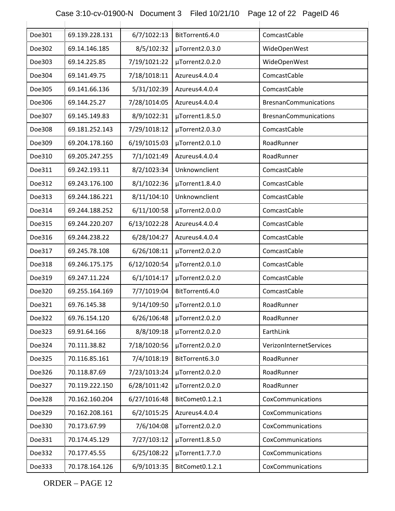# Case 3:10-cv-01900-N Document 3 Filed 10/21/10 Page 12 of 22 PageID 46

| Doe301 | 69.139.228.131 | 6/7/1022:13  | BitTorrent6.4.0 | ComcastCable                 |
|--------|----------------|--------------|-----------------|------------------------------|
| Doe302 | 69.14.146.185  | 8/5/102:32   | µTorrent2.0.3.0 | WideOpenWest                 |
| Doe303 | 69.14.225.85   | 7/19/1021:22 | µTorrent2.0.2.0 | WideOpenWest                 |
| Doe304 | 69.141.49.75   | 7/18/1018:11 | Azureus4.4.0.4  | ComcastCable                 |
| Doe305 | 69.141.66.136  | 5/31/102:39  | Azureus4.4.0.4  | ComcastCable                 |
| Doe306 | 69.144.25.27   | 7/28/1014:05 | Azureus4.4.0.4  | <b>BresnanCommunications</b> |
| Doe307 | 69.145.149.83  | 8/9/1022:31  | µTorrent1.8.5.0 | <b>BresnanCommunications</b> |
| Doe308 | 69.181.252.143 | 7/29/1018:12 | µTorrent2.0.3.0 | ComcastCable                 |
| Doe309 | 69.204.178.160 | 6/19/1015:03 | µTorrent2.0.1.0 | RoadRunner                   |
| Doe310 | 69.205.247.255 | 7/1/1021:49  | Azureus4.4.0.4  | RoadRunner                   |
| Doe311 | 69.242.193.11  | 8/2/1023:34  | Unknownclient   | ComcastCable                 |
| Doe312 | 69.243.176.100 | 8/1/1022:36  | µTorrent1.8.4.0 | ComcastCable                 |
| Doe313 | 69.244.186.221 | 8/11/104:10  | Unknownclient   | ComcastCable                 |
| Doe314 | 69.244.188.252 | 6/11/100:58  | µTorrent2.0.0.0 | ComcastCable                 |
| Doe315 | 69.244.220.207 | 6/13/1022:28 | Azureus4.4.0.4  | ComcastCable                 |
| Doe316 | 69.244.238.22  | 6/28/104:27  | Azureus4.4.0.4  | ComcastCable                 |
| Doe317 | 69.245.78.108  | 6/26/108:11  | µTorrent2.0.2.0 | ComcastCable                 |
| Doe318 | 69.246.175.175 | 6/12/1020:54 | µTorrent2.0.1.0 | ComcastCable                 |
| Doe319 | 69.247.11.224  | 6/1/1014:17  | µTorrent2.0.2.0 | ComcastCable                 |
| Doe320 | 69.255.164.169 | 7/7/1019:04  | BitTorrent6.4.0 | ComcastCable                 |
| Doe321 | 69.76.145.38   | 9/14/109:50  | µTorrent2.0.1.0 | RoadRunner                   |
| Doe322 | 69.76.154.120  | 6/26/106:48  | µTorrent2.0.2.0 | RoadRunner                   |
| Doe323 | 69.91.64.166   | 8/8/109:18   | µTorrent2.0.2.0 | EarthLink                    |
| Doe324 | 70.111.38.82   | 7/18/1020:56 | µTorrent2.0.2.0 | VerizonInternetServices      |
| Doe325 | 70.116.85.161  | 7/4/1018:19  | BitTorrent6.3.0 | RoadRunner                   |
| Doe326 | 70.118.87.69   | 7/23/1013:24 | µTorrent2.0.2.0 | RoadRunner                   |
| Doe327 | 70.119.222.150 | 6/28/1011:42 | µTorrent2.0.2.0 | RoadRunner                   |
| Doe328 | 70.162.160.204 | 6/27/1016:48 | BitComet0.1.2.1 | CoxCommunications            |
| Doe329 | 70.162.208.161 | 6/2/1015:25  | Azureus4.4.0.4  | CoxCommunications            |
| Doe330 | 70.173.67.99   | 7/6/104:08   | µTorrent2.0.2.0 | CoxCommunications            |
| Doe331 | 70.174.45.129  | 7/27/103:12  | µTorrent1.8.5.0 | CoxCommunications            |
| Doe332 | 70.177.45.55   | 6/25/108:22  | µTorrent1.7.7.0 | CoxCommunications            |
| Doe333 | 70.178.164.126 | 6/9/1013:35  | BitComet0.1.2.1 | CoxCommunications            |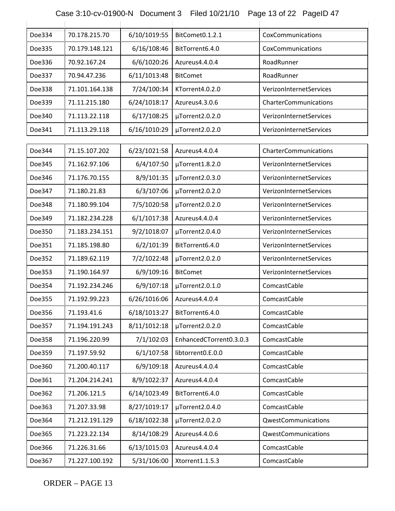Case 3:10-cv-01900-N Document 3 Filed 10/21/10 Page 13 of 22 PageID 47

| Doe334 | 70.178.215.70  | 6/10/1019:55 | BitComet0.1.2.1         | CoxCommunications          |
|--------|----------------|--------------|-------------------------|----------------------------|
| Doe335 | 70.179.148.121 | 6/16/108:46  | BitTorrent6.4.0         | CoxCommunications          |
| Doe336 | 70.92.167.24   | 6/6/1020:26  | Azureus4.4.0.4          | RoadRunner                 |
| Doe337 | 70.94.47.236   | 6/11/1013:48 | <b>BitComet</b>         | RoadRunner                 |
| Doe338 | 71.101.164.138 | 7/24/100:34  | KTorrent4.0.2.0         | VerizonInternetServices    |
| Doe339 | 71.11.215.180  | 6/24/1018:17 | Azureus4.3.0.6          | CharterCommunications      |
| Doe340 | 71.113.22.118  | 6/17/108:25  | µTorrent2.0.2.0         | VerizonInternetServices    |
| Doe341 | 71.113.29.118  | 6/16/1010:29 | µTorrent2.0.2.0         | VerizonInternetServices    |
|        |                |              |                         |                            |
| Doe344 | 71.15.107.202  | 6/23/1021:58 | Azureus4.4.0.4          | CharterCommunications      |
| Doe345 | 71.162.97.106  | 6/4/107:50   | µTorrent1.8.2.0         | VerizonInternetServices    |
| Doe346 | 71.176.70.155  | 8/9/101:35   | µTorrent2.0.3.0         | VerizonInternetServices    |
| Doe347 | 71.180.21.83   | 6/3/107:06   | µTorrent2.0.2.0         | VerizonInternetServices    |
| Doe348 | 71.180.99.104  | 7/5/1020:58  | µTorrent2.0.2.0         | VerizonInternetServices    |
| Doe349 | 71.182.234.228 | 6/1/1017:38  | Azureus4.4.0.4          | VerizonInternetServices    |
| Doe350 | 71.183.234.151 | 9/2/1018:07  | µTorrent2.0.4.0         | VerizonInternetServices    |
| Doe351 | 71.185.198.80  | 6/2/101:39   | BitTorrent6.4.0         | VerizonInternetServices    |
| Doe352 | 71.189.62.119  | 7/2/1022:48  | µTorrent2.0.2.0         | VerizonInternetServices    |
| Doe353 | 71.190.164.97  | 6/9/109:16   | <b>BitComet</b>         | VerizonInternetServices    |
| Doe354 | 71.192.234.246 | 6/9/107:18   | µTorrent2.0.1.0         | ComcastCable               |
| Doe355 | 71.192.99.223  | 6/26/1016:06 | Azureus4.4.0.4          | ComcastCable               |
| Doe356 | 71.193.41.6    | 6/18/1013:27 | BitTorrent6.4.0         | ComcastCable               |
| Doe357 | 71.194.191.243 | 8/11/1012:18 | µTorrent2.0.2.0         | ComcastCable               |
| Doe358 | 71.196.220.99  | 7/1/102:03   | EnhancedCTorrent0.3.0.3 | ComcastCable               |
| Doe359 | 71.197.59.92   | 6/1/107:58   | libtorrent0.E.0.0       | ComcastCable               |
| Doe360 | 71.200.40.117  | 6/9/109:18   | Azureus4.4.0.4          | ComcastCable               |
| Doe361 | 71.204.214.241 | 8/9/1022:37  | Azureus4.4.0.4          | ComcastCable               |
| Doe362 | 71.206.121.5   | 6/14/1023:49 | BitTorrent6.4.0         | ComcastCable               |
| Doe363 | 71.207.33.98   | 8/27/1019:17 | µTorrent2.0.4.0         | ComcastCable               |
| Doe364 | 71.212.191.129 | 6/18/1022:38 | µTorrent2.0.2.0         | QwestCommunications        |
| Doe365 | 71.223.22.134  | 8/14/108:29  | Azureus4.4.0.6          | <b>QwestCommunications</b> |
| Doe366 | 71.226.31.66   | 6/13/1015:03 | Azureus4.4.0.4          | ComcastCable               |
| Doe367 | 71.227.100.192 | 5/31/106:00  | Xtorrent1.1.5.3         | ComcastCable               |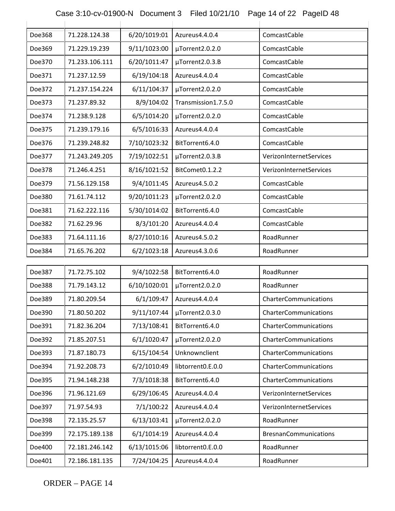| Doe368 | 71.228.124.38  | 6/20/1019:01 | Azureus4.4.0.4      | ComcastCable                 |
|--------|----------------|--------------|---------------------|------------------------------|
| Doe369 | 71.229.19.239  | 9/11/1023:00 | µTorrent2.0.2.0     | ComcastCable                 |
| Doe370 | 71.233.106.111 | 6/20/1011:47 | µTorrent2.0.3.B     | ComcastCable                 |
| Doe371 | 71.237.12.59   | 6/19/104:18  | Azureus4.4.0.4      | ComcastCable                 |
| Doe372 | 71.237.154.224 | 6/11/104:37  | µTorrent2.0.2.0     | ComcastCable                 |
| Doe373 | 71.237.89.32   | 8/9/104:02   | Transmission1.7.5.0 | ComcastCable                 |
| Doe374 | 71.238.9.128   | 6/5/1014:20  | µTorrent2.0.2.0     | ComcastCable                 |
| Doe375 | 71.239.179.16  | 6/5/1016:33  | Azureus4.4.0.4      | ComcastCable                 |
| Doe376 | 71.239.248.82  | 7/10/1023:32 | BitTorrent6.4.0     | ComcastCable                 |
| Doe377 | 71.243.249.205 | 7/19/1022:51 | µTorrent2.0.3.B     | VerizonInternetServices      |
| Doe378 | 71.246.4.251   | 8/16/1021:52 | BitComet0.1.2.2     | VerizonInternetServices      |
| Doe379 | 71.56.129.158  | 9/4/1011:45  | Azureus4.5.0.2      | ComcastCable                 |
| Doe380 | 71.61.74.112   | 9/20/1011:23 | µTorrent2.0.2.0     | ComcastCable                 |
| Doe381 | 71.62.222.116  | 5/30/1014:02 | BitTorrent6.4.0     | ComcastCable                 |
| Doe382 | 71.62.29.96    | 8/3/101:20   | Azureus4.4.0.4      | ComcastCable                 |
| Doe383 | 71.64.111.16   | 8/27/1010:16 | Azureus4.5.0.2      | RoadRunner                   |
| Doe384 | 71.65.76.202   | 6/2/1023:18  | Azureus4.3.0.6      | RoadRunner                   |
|        |                |              |                     |                              |
| Doe387 | 71.72.75.102   | 9/4/1022:58  | BitTorrent6.4.0     | RoadRunner                   |
| Doe388 | 71.79.143.12   | 6/10/1020:01 | µTorrent2.0.2.0     | RoadRunner                   |
| Doe389 | 71.80.209.54   | 6/1/109:47   | Azureus4.4.0.4      | CharterCommunications        |
| Doe390 | 71.80.50.202   | 9/11/107:44  | µTorrent2.0.3.0     | CharterCommunications        |
| Doe391 | 71.82.36.204   | 7/13/108:41  | BitTorrent6.4.0     | CharterCommunications        |
| Doe392 | 71.85.207.51   | 6/1/1020:47  | µTorrent2.0.2.0     | CharterCommunications        |
| Doe393 | 71.87.180.73   | 6/15/104:54  | Unknownclient       | CharterCommunications        |
| Doe394 | 71.92.208.73   | 6/2/1010:49  | libtorrent0.E.0.0   | CharterCommunications        |
| Doe395 | 71.94.148.238  | 7/3/1018:38  | BitTorrent6.4.0     | CharterCommunications        |
| Doe396 | 71.96.121.69   | 6/29/106:45  | Azureus4.4.0.4      | VerizonInternetServices      |
| Doe397 | 71.97.54.93    | 7/1/100:22   | Azureus4.4.0.4      | VerizonInternetServices      |
| Doe398 | 72.135.25.57   | 6/13/103:41  | µTorrent2.0.2.0     | RoadRunner                   |
| Doe399 | 72.175.189.138 | 6/1/1014:19  | Azureus4.4.0.4      | <b>BresnanCommunications</b> |
| Doe400 | 72.181.246.142 | 6/13/1015:06 | libtorrent0.E.0.0   | RoadRunner                   |
| Doe401 | 72.186.181.135 | 7/24/104:25  | Azureus4.4.0.4      | RoadRunner                   |

Case 3:10-cv-01900-N Document 3 Filed 10/21/10 Page 14 of 22 PageID 48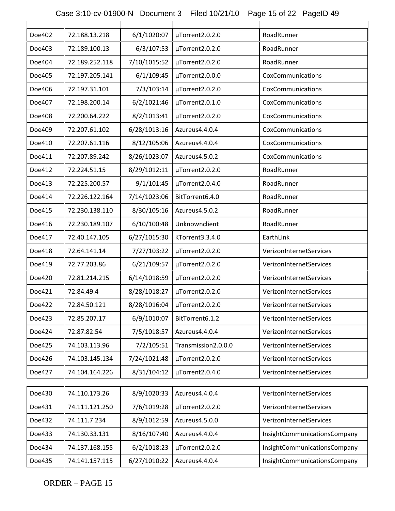| Case 3:10-cv-01900-N Document 3 Filed 10/21/10 Page 15 of 22 PageID 49 |  |  |
|------------------------------------------------------------------------|--|--|

| Doe402 | 72.188.13.218  | 6/1/1020:07  | µTorrent2.0.2.0     | RoadRunner                   |
|--------|----------------|--------------|---------------------|------------------------------|
| Doe403 | 72.189.100.13  | 6/3/107:53   | µTorrent2.0.2.0     | RoadRunner                   |
| Doe404 | 72.189.252.118 | 7/10/1015:52 | µTorrent2.0.2.0     | RoadRunner                   |
| Doe405 | 72.197.205.141 | 6/1/109:45   | µTorrent2.0.0.0     | CoxCommunications            |
| Doe406 | 72.197.31.101  | 7/3/103:14   | µTorrent2.0.2.0     | CoxCommunications            |
| Doe407 | 72.198.200.14  | 6/2/1021:46  | µTorrent2.0.1.0     | CoxCommunications            |
| Doe408 | 72.200.64.222  | 8/2/1013:41  | µTorrent2.0.2.0     | CoxCommunications            |
| Doe409 | 72.207.61.102  | 6/28/1013:16 | Azureus4.4.0.4      | CoxCommunications            |
| Doe410 | 72.207.61.116  | 8/12/105:06  | Azureus4.4.0.4      | CoxCommunications            |
| Doe411 | 72.207.89.242  | 8/26/1023:07 | Azureus4.5.0.2      | CoxCommunications            |
| Doe412 | 72.224.51.15   | 8/29/1012:11 | µTorrent2.0.2.0     | RoadRunner                   |
| Doe413 | 72.225.200.57  | 9/1/101:45   | µTorrent2.0.4.0     | RoadRunner                   |
| Doe414 | 72.226.122.164 | 7/14/1023:06 | BitTorrent6.4.0     | RoadRunner                   |
| Doe415 | 72.230.138.110 | 8/30/105:16  | Azureus4.5.0.2      | RoadRunner                   |
| Doe416 | 72.230.189.107 | 6/10/100:48  | Unknownclient       | RoadRunner                   |
| Doe417 | 72.40.147.105  | 6/27/1015:30 | KTorrent3.3.4.0     | EarthLink                    |
| Doe418 | 72.64.141.14   | 7/27/103:22  | µTorrent2.0.2.0     | VerizonInternetServices      |
| Doe419 | 72.77.203.86   | 6/21/109:57  | µTorrent2.0.2.0     | VerizonInternetServices      |
| Doe420 | 72.81.214.215  | 6/14/1018:59 | µTorrent2.0.2.0     | VerizonInternetServices      |
| Doe421 | 72.84.49.4     | 8/28/1018:27 | µTorrent2.0.2.0     | VerizonInternetServices      |
| Doe422 | 72.84.50.121   | 8/28/1016:04 | µTorrent2.0.2.0     | VerizonInternetServices      |
| Doe423 | 72.85.207.17   | 6/9/1010:07  | BitTorrent6.1.2     | VerizonInternetServices      |
| Doe424 | 72.87.82.54    | 7/5/1018:57  | Azureus4.4.0.4      | VerizonInternetServices      |
| Doe425 | 74.103.113.96  | 7/2/105:51   | Transmission2.0.0.0 | VerizonInternetServices      |
| Doe426 | 74.103.145.134 | 7/24/1021:48 | µTorrent2.0.2.0     | VerizonInternetServices      |
| Doe427 | 74.104.164.226 | 8/31/104:12  | µTorrent2.0.4.0     | VerizonInternetServices      |
|        |                |              |                     |                              |
| Doe430 | 74.110.173.26  | 8/9/1020:33  | Azureus4.4.0.4      | VerizonInternetServices      |
| Doe431 | 74.111.121.250 | 7/6/1019:28  | µTorrent2.0.2.0     | VerizonInternetServices      |
| Doe432 | 74.111.7.234   | 8/9/1012:59  | Azureus4.5.0.0      | VerizonInternetServices      |
| Doe433 | 74.130.33.131  | 8/16/107:40  | Azureus4.4.0.4      | InsightCommunicationsCompany |
| Doe434 | 74.137.168.155 | 6/2/1018:23  | µTorrent2.0.2.0     | InsightCommunicationsCompany |
| Doe435 | 74.141.157.115 | 6/27/1010:22 | Azureus4.4.0.4      | InsightCommunicationsCompany |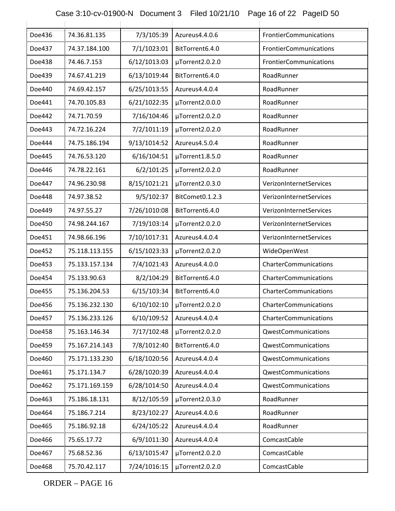### Case 3:10-cv-01900-N Document 3 Filed 10/21/10 Page 16 of 22 PageID 50

| Doe436 | 74.36.81.135   | 7/3/105:39   | Azureus4.4.0.6  | FrontierCommunications  |
|--------|----------------|--------------|-----------------|-------------------------|
| Doe437 | 74.37.184.100  | 7/1/1023:01  | BitTorrent6.4.0 | FrontierCommunications  |
| Doe438 | 74.46.7.153    | 6/12/1013:03 | µTorrent2.0.2.0 | FrontierCommunications  |
| Doe439 | 74.67.41.219   | 6/13/1019:44 | BitTorrent6.4.0 | RoadRunner              |
| Doe440 | 74.69.42.157   | 6/25/1013:55 | Azureus4.4.0.4  | RoadRunner              |
| Doe441 | 74.70.105.83   | 6/21/1022:35 | µTorrent2.0.0.0 | RoadRunner              |
| Doe442 | 74.71.70.59    | 7/16/104:46  | µTorrent2.0.2.0 | RoadRunner              |
| Doe443 | 74.72.16.224   | 7/2/1011:19  | µTorrent2.0.2.0 | RoadRunner              |
| Doe444 | 74.75.186.194  | 9/13/1014:52 | Azureus4.5.0.4  | RoadRunner              |
| Doe445 | 74.76.53.120   | 6/16/104:51  | µTorrent1.8.5.0 | RoadRunner              |
| Doe446 | 74.78.22.161   | 6/2/101:25   | µTorrent2.0.2.0 | RoadRunner              |
| Doe447 | 74.96.230.98   | 8/15/1021:21 | µTorrent2.0.3.0 | VerizonInternetServices |
| Doe448 | 74.97.38.52    | 9/5/102:37   | BitComet0.1.2.3 | VerizonInternetServices |
| Doe449 | 74.97.55.27    | 7/26/1010:08 | BitTorrent6.4.0 | VerizonInternetServices |
| Doe450 | 74.98.244.167  | 7/19/103:14  | µTorrent2.0.2.0 | VerizonInternetServices |
| Doe451 | 74.98.66.196   | 7/10/1017:31 | Azureus4.4.0.4  | VerizonInternetServices |
| Doe452 | 75.118.113.155 | 6/15/1023:33 | µTorrent2.0.2.0 | WideOpenWest            |
| Doe453 | 75.133.157.134 | 7/4/1021:43  | Azureus4.4.0.0  | CharterCommunications   |
| Doe454 | 75.133.90.63   | 8/2/104:29   | BitTorrent6.4.0 | CharterCommunications   |
| Doe455 | 75.136.204.53  | 6/15/103:34  | BitTorrent6.4.0 | CharterCommunications   |
| Doe456 | 75.136.232.130 | 6/10/102:10  | µTorrent2.0.2.0 | CharterCommunications   |
| Doe457 | 75.136.233.126 | 6/10/109:52  | Azureus4.4.0.4  | CharterCommunications   |
| Doe458 | 75.163.146.34  | 7/17/102:48  | µTorrent2.0.2.0 | QwestCommunications     |
| Doe459 | 75.167.214.143 | 7/8/1012:40  | BitTorrent6.4.0 | QwestCommunications     |
| Doe460 | 75.171.133.230 | 6/18/1020:56 | Azureus4.4.0.4  | QwestCommunications     |
| Doe461 | 75.171.134.7   | 6/28/1020:39 | Azureus4.4.0.4  | QwestCommunications     |
| Doe462 | 75.171.169.159 | 6/28/1014:50 | Azureus4.4.0.4  | QwestCommunications     |
| Doe463 | 75.186.18.131  | 8/12/105:59  | µTorrent2.0.3.0 | RoadRunner              |
| Doe464 | 75.186.7.214   | 8/23/102:27  | Azureus4.4.0.6  | RoadRunner              |
| Doe465 | 75.186.92.18   | 6/24/105:22  | Azureus4.4.0.4  | RoadRunner              |
| Doe466 | 75.65.17.72    | 6/9/1011:30  | Azureus4.4.0.4  | ComcastCable            |
| Doe467 | 75.68.52.36    | 6/13/1015:47 | µTorrent2.0.2.0 | ComcastCable            |
| Doe468 | 75.70.42.117   | 7/24/1016:15 | µTorrent2.0.2.0 | ComcastCable            |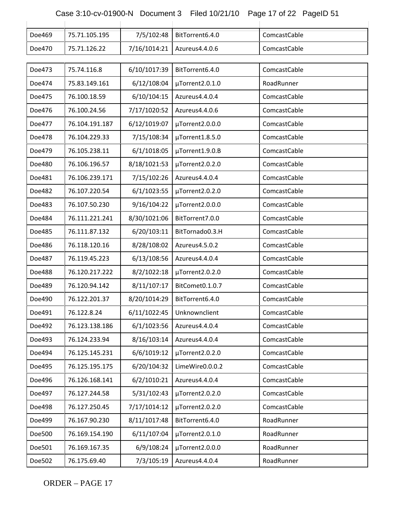### Case 3:10-cv-01900-N Document 3 Filed 10/21/10 Page 17 of 22 PageID 51

| Doe469 | 75.71.105.195  | 7/5/102:48   | BitTorrent6.4.0 | ComcastCable |
|--------|----------------|--------------|-----------------|--------------|
| Doe470 | 75.71.126.22   | 7/16/1014:21 | Azureus4.4.0.6  | ComcastCable |
|        |                |              |                 |              |
| Doe473 | 75.74.116.8    | 6/10/1017:39 | BitTorrent6.4.0 | ComcastCable |
| Doe474 | 75.83.149.161  | 6/12/108:04  | µTorrent2.0.1.0 | RoadRunner   |
| Doe475 | 76.100.18.59   | 6/10/104:15  | Azureus4.4.0.4  | ComcastCable |
| Doe476 | 76.100.24.56   | 7/17/1020:52 | Azureus4.4.0.6  | ComcastCable |
| Doe477 | 76.104.191.187 | 6/12/1019:07 | µTorrent2.0.0.0 | ComcastCable |
| Doe478 | 76.104.229.33  | 7/15/108:34  | µTorrent1.8.5.0 | ComcastCable |
| Doe479 | 76.105.238.11  | 6/1/1018:05  | µTorrent1.9.0.B | ComcastCable |
| Doe480 | 76.106.196.57  | 8/18/1021:53 | µTorrent2.0.2.0 | ComcastCable |
| Doe481 | 76.106.239.171 | 7/15/102:26  | Azureus4.4.0.4  | ComcastCable |
| Doe482 | 76.107.220.54  | 6/1/1023:55  | µTorrent2.0.2.0 | ComcastCable |
| Doe483 | 76.107.50.230  | 9/16/104:22  | µTorrent2.0.0.0 | ComcastCable |
| Doe484 | 76.111.221.241 | 8/30/1021:06 | BitTorrent7.0.0 | ComcastCable |
| Doe485 | 76.111.87.132  | 6/20/103:11  | BitTornado0.3.H | ComcastCable |
| Doe486 | 76.118.120.16  | 8/28/108:02  | Azureus4.5.0.2  | ComcastCable |
| Doe487 | 76.119.45.223  | 6/13/108:56  | Azureus4.4.0.4  | ComcastCable |
| Doe488 | 76.120.217.222 | 8/2/1022:18  | µTorrent2.0.2.0 | ComcastCable |
| Doe489 | 76.120.94.142  | 8/11/107:17  | BitComet0.1.0.7 | ComcastCable |
| Doe490 | 76.122.201.37  | 8/20/1014:29 | BitTorrent6.4.0 | ComcastCable |
| Doe491 | 76.122.8.24    | 6/11/1022:45 | Unknownclient   | ComcastCable |
| Doe492 | 76.123.138.186 | 6/1/1023:56  | Azureus4.4.0.4  | ComcastCable |
| Doe493 | 76.124.233.94  | 8/16/103:14  | Azureus4.4.0.4  | ComcastCable |
| Doe494 | 76.125.145.231 | 6/6/1019:12  | µTorrent2.0.2.0 | ComcastCable |
| Doe495 | 76.125.195.175 | 6/20/104:32  | LimeWire0.0.0.2 | ComcastCable |
| Doe496 | 76.126.168.141 | 6/2/1010:21  | Azureus4.4.0.4  | ComcastCable |
| Doe497 | 76.127.244.58  | 5/31/102:43  | µTorrent2.0.2.0 | ComcastCable |
| Doe498 | 76.127.250.45  | 7/17/1014:12 | µTorrent2.0.2.0 | ComcastCable |
| Doe499 | 76.167.90.230  | 8/11/1017:48 | BitTorrent6.4.0 | RoadRunner   |
| Doe500 | 76.169.154.190 | 6/11/107:04  | µTorrent2.0.1.0 | RoadRunner   |
| Doe501 | 76.169.167.35  | 6/9/108:24   | µTorrent2.0.0.0 | RoadRunner   |
| Doe502 | 76.175.69.40   | 7/3/105:19   | Azureus4.4.0.4  | RoadRunner   |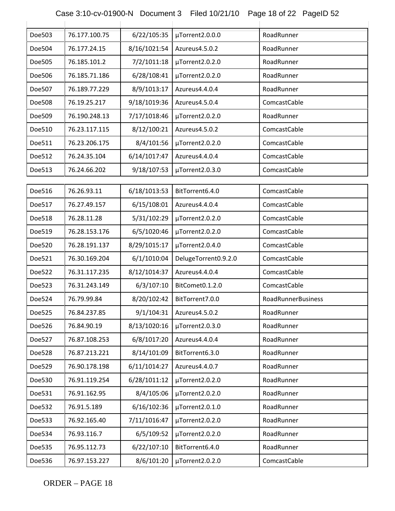| Case 3:10-cv-01900-N Document 3 Filed 10/21/10 Page 18 of 22 PageID 52 |  |  |
|------------------------------------------------------------------------|--|--|

| Doe503 | 76.177.100.75 | 6/22/105:35  | µTorrent2.0.0.0      | RoadRunner         |
|--------|---------------|--------------|----------------------|--------------------|
| Doe504 | 76.177.24.15  | 8/16/1021:54 | Azureus4.5.0.2       | RoadRunner         |
| Doe505 | 76.185.101.2  | 7/2/1011:18  | µTorrent2.0.2.0      | RoadRunner         |
| Doe506 | 76.185.71.186 | 6/28/108:41  | µTorrent2.0.2.0      | RoadRunner         |
| Doe507 | 76.189.77.229 | 8/9/1013:17  | Azureus4.4.0.4       | RoadRunner         |
| Doe508 | 76.19.25.217  | 9/18/1019:36 | Azureus4.5.0.4       | ComcastCable       |
| Doe509 | 76.190.248.13 | 7/17/1018:46 | µTorrent2.0.2.0      | RoadRunner         |
| Doe510 | 76.23.117.115 | 8/12/100:21  | Azureus4.5.0.2       | ComcastCable       |
| Doe511 | 76.23.206.175 | 8/4/101:56   | µTorrent2.0.2.0      | ComcastCable       |
| Doe512 | 76.24.35.104  | 6/14/1017:47 | Azureus4.4.0.4       | ComcastCable       |
| Doe513 | 76.24.66.202  | 9/18/107:53  | µTorrent2.0.3.0      | ComcastCable       |
|        |               |              |                      |                    |
| Doe516 | 76.26.93.11   | 6/18/1013:53 | BitTorrent6.4.0      | ComcastCable       |
| Doe517 | 76.27.49.157  | 6/15/108:01  | Azureus4.4.0.4       | ComcastCable       |
| Doe518 | 76.28.11.28   | 5/31/102:29  | µTorrent2.0.2.0      | ComcastCable       |
| Doe519 | 76.28.153.176 | 6/5/1020:46  | µTorrent2.0.2.0      | ComcastCable       |
| Doe520 | 76.28.191.137 | 8/29/1015:17 | µTorrent2.0.4.0      | ComcastCable       |
| Doe521 | 76.30.169.204 | 6/1/1010:04  | DelugeTorrent0.9.2.0 | ComcastCable       |
| Doe522 | 76.31.117.235 | 8/12/1014:37 | Azureus4.4.0.4       | ComcastCable       |
| Doe523 | 76.31.243.149 | 6/3/107:10   | BitComet0.1.2.0      | ComcastCable       |
| Doe524 | 76.79.99.84   | 8/20/102:42  | BitTorrent7.0.0      | RoadRunnerBusiness |
| Doe525 | 76.84.237.85  | 9/1/104:31   | Azureus4.5.0.2       | RoadRunner         |
| Doe526 | 76.84.90.19   | 8/13/1020:16 | µTorrent2.0.3.0      | RoadRunner         |
| Doe527 | 76.87.108.253 | 6/8/1017:20  | Azureus4.4.0.4       | RoadRunner         |
| Doe528 | 76.87.213.221 | 8/14/101:09  | BitTorrent6.3.0      | RoadRunner         |
| Doe529 | 76.90.178.198 | 6/11/1014:27 | Azureus4.4.0.7       | RoadRunner         |
| Doe530 | 76.91.119.254 | 6/28/1011:12 | µTorrent2.0.2.0      | RoadRunner         |
| Doe531 | 76.91.162.95  | 8/4/105:06   | µTorrent2.0.2.0      | RoadRunner         |
| Doe532 | 76.91.5.189   | 6/16/102:36  | µTorrent2.0.1.0      | RoadRunner         |
| Doe533 | 76.92.165.40  | 7/11/1016:47 | µTorrent2.0.2.0      | RoadRunner         |
| Doe534 | 76.93.116.7   | 6/5/109:52   | µTorrent2.0.2.0      | RoadRunner         |
| Doe535 | 76.95.112.73  | 6/22/107:10  | BitTorrent6.4.0      | RoadRunner         |
| Doe536 | 76.97.153.227 | 8/6/101:20   | µTorrent2.0.2.0      | ComcastCable       |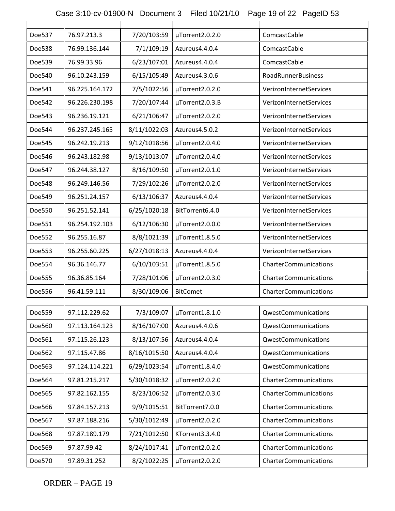### Case 3:10-cv-01900-N Document 3 Filed 10/21/10 Page 19 of 22 PageID 53

| Doe537 | 76.97.213.3    | 7/20/103:59  | µTorrent2.0.2.0      | ComcastCable              |
|--------|----------------|--------------|----------------------|---------------------------|
| Doe538 | 76.99.136.144  | 7/1/109:19   | Azureus4.4.0.4       | ComcastCable              |
| Doe539 | 76.99.33.96    | 6/23/107:01  | Azureus4.4.0.4       | ComcastCable              |
| Doe540 | 96.10.243.159  | 6/15/105:49  | Azureus4.3.0.6       | <b>RoadRunnerBusiness</b> |
| Doe541 | 96.225.164.172 | 7/5/1022:56  | µTorrent2.0.2.0      | VerizonInternetServices   |
| Doe542 | 96.226.230.198 | 7/20/107:44  | µTorrent2.0.3.B      | VerizonInternetServices   |
| Doe543 | 96.236.19.121  | 6/21/106:47  | µTorrent2.0.2.0      | VerizonInternetServices   |
| Doe544 | 96.237.245.165 | 8/11/1022:03 | Azureus4.5.0.2       | VerizonInternetServices   |
| Doe545 | 96.242.19.213  | 9/12/1018:56 | µTorrent2.0.4.0      | VerizonInternetServices   |
| Doe546 | 96.243.182.98  | 9/13/1013:07 | µTorrent2.0.4.0      | VerizonInternetServices   |
| Doe547 | 96.244.38.127  | 8/16/109:50  | µTorrent2.0.1.0      | VerizonInternetServices   |
| Doe548 | 96.249.146.56  | 7/29/102:26  | µTorrent2.0.2.0      | VerizonInternetServices   |
| Doe549 | 96.251.24.157  | 6/13/106:37  | Azureus4.4.0.4       | VerizonInternetServices   |
| Doe550 | 96.251.52.141  | 6/25/1020:18 | BitTorrent6.4.0      | VerizonInternetServices   |
| Doe551 | 96.254.192.103 | 6/12/106:30  | µTorrent2.0.0.0      | VerizonInternetServices   |
| Doe552 | 96.255.16.87   | 8/8/1021:39  | µTorrent1.8.5.0      | VerizonInternetServices   |
| Doe553 | 96.255.60.225  | 6/27/1018:13 | Azureus4.4.0.4       | VerizonInternetServices   |
| Doe554 | 96.36.146.77   | 6/10/103:51  | µTorrent1.8.5.0      | CharterCommunications     |
| Doe555 | 96.36.85.164   | 7/28/101:06  | µTorrent2.0.3.0      | CharterCommunications     |
| Doe556 | 96.41.59.111   | 8/30/109:06  | <b>BitComet</b>      | CharterCommunications     |
|        |                |              |                      |                           |
| Doe559 | 97.112.229.62  | 7/3/109:07   | $\mu$ Torrent1.8.1.0 | QwestCommunications       |
| Doe560 | 97.113.164.123 | 8/16/107:00  | Azureus4.4.0.6       | QwestCommunications       |
| Doe561 | 97.115.26.123  | 8/13/107:56  | Azureus4.4.0.4       | QwestCommunications       |
| Doe562 | 97.115.47.86   | 8/16/1015:50 | Azureus4.4.0.4       | QwestCommunications       |
| Doe563 | 97.124.114.221 | 6/29/1023:54 | µTorrent1.8.4.0      | QwestCommunications       |
| Doe564 | 97.81.215.217  | 5/30/1018:32 | µTorrent2.0.2.0      | CharterCommunications     |
| Doe565 | 97.82.162.155  | 8/23/106:52  | µTorrent2.0.3.0      | CharterCommunications     |
| Doe566 | 97.84.157.213  | 9/9/1015:51  | BitTorrent7.0.0      | CharterCommunications     |
| Doe567 | 97.87.188.216  | 5/30/1012:49 | µTorrent2.0.2.0      | CharterCommunications     |
| Doe568 | 97.87.189.179  | 7/21/1012:50 | KTorrent3.3.4.0      | CharterCommunications     |
| Doe569 | 97.87.99.42    | 8/24/1017:41 | µTorrent2.0.2.0      | CharterCommunications     |
| Doe570 | 97.89.31.252   | 8/2/1022:25  | µTorrent2.0.2.0      | CharterCommunications     |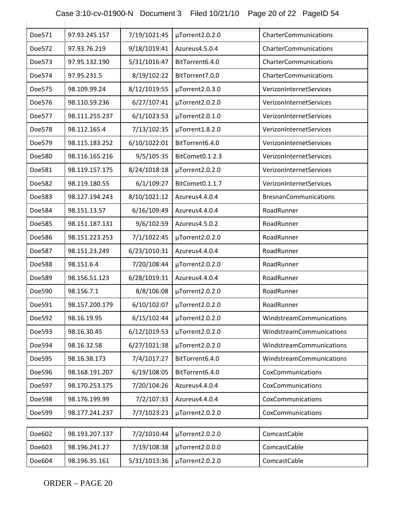# Case 3:10-cv-01900-N Document 3 Filed 10/21/10 Page 20 of 22 PageID 54

| Doe571        | 97.93.245.157  | 7/19/1021:45 | µTorrent2.0.2.0 | CharterCommunications        |
|---------------|----------------|--------------|-----------------|------------------------------|
| Doe572        | 97.93.76.219   | 9/18/1019:41 | Azureus4.5.0.4  | CharterCommunications        |
| Doe573        | 97.95.132.190  | 5/31/1016:47 | BitTorrent6.4.0 | CharterCommunications        |
| Doe574        | 97.95.231.5    | 8/19/102:22  | BitTorrent7.0.0 | CharterCommunications        |
| Doe575        | 98.109.99.24   | 8/12/1019:55 | µTorrent2.0.3.0 | VerizonInternetServices      |
| Doe576        | 98.110.59.236  | 6/27/107:41  | µTorrent2.0.2.0 | VerizonInternetServices      |
| Doe577        | 98.111.255.237 | 6/1/1023:53  | µTorrent2.0.1.0 | VerizonInternetServices      |
| Doe578        | 98.112.165.4   | 7/13/102:35  | µTorrent1.8.2.0 | VerizonInternetServices      |
| Doe579        | 98.115.183.252 | 6/10/1022:01 | BitTorrent6.4.0 | VerizonInternetServices      |
| Doe580        | 98.116.165.216 | 9/5/105:35   | BitComet0.1.2.3 | VerizonInternetServices      |
| Doe581        | 98.119.157.175 | 8/24/1018:18 | µTorrent2.0.2.0 | VerizonInternetServices      |
| Doe582        | 98.119.180.55  | 6/1/109:27   | BitComet0.1.1.7 | VerizonInternetServices      |
| Doe583        | 98.127.194.243 | 8/10/1021:12 | Azureus4.4.0.4  | <b>BresnanCommunications</b> |
| Doe584        | 98.151.13.57   | 6/16/109:49  | Azureus4.4.0.4  | RoadRunner                   |
| Doe585        | 98.151.187.131 | 9/6/102:59   | Azureus4.5.0.2  | RoadRunner                   |
| Doe586        | 98.151.223.253 | 7/1/1022:45  | µTorrent2.0.2.0 | RoadRunner                   |
| Doe587        | 98.151.23.249  | 6/23/1010:31 | Azureus4.4.0.4  | RoadRunner                   |
| <b>Doe588</b> | 98.151.6.4     | 7/20/108:44  | µTorrent2.0.2.0 | RoadRunner                   |
| Doe589        | 98.156.51.123  | 6/28/1019:31 | Azureus4.4.0.4  | RoadRunner                   |
| Doe590        | 98.156.7.1     | 8/8/106:08   | µTorrent2.0.2.0 | RoadRunner                   |
| Doe591        | 98.157.200.179 | 6/10/102:07  | µTorrent2.0.2.0 | RoadRunner                   |
| Doe592        | 98.16.19.95    | 6/15/102:44  | µTorrent2.0.2.0 | WindstreamCommunications     |
| Doe593        | 98.16.30.45    | 6/12/1019:53 | µTorrent2.0.2.0 | WindstreamCommunications     |
| Doe594        | 98.16.32.58    | 6/27/1021:38 | µTorrent2.0.2.0 | WindstreamCommunications     |
| Doe595        | 98.16.38.173   | 7/4/1017:27  | BitTorrent6.4.0 | WindstreamCommunications     |
| Doe596        | 98.168.191.207 | 6/19/108:05  | BitTorrent6.4.0 | CoxCommunications            |
| Doe597        | 98.170.253.175 | 7/20/104:26  | Azureus4.4.0.4  | CoxCommunications            |
| Doe598        | 98.176.199.99  | 7/2/107:33   | Azureus4.4.0.4  | CoxCommunications            |
| Doe599        | 98.177.241.237 | 7/7/1023:23  | µTorrent2.0.2.0 | CoxCommunications            |
|               |                |              |                 |                              |
| Doe602        | 98.193.207.137 | 7/2/1010:44  | µTorrent2.0.2.0 | ComcastCable                 |
| Doe603        | 98.196.241.27  | 7/19/108:38  | µTorrent2.0.0.0 | ComcastCable                 |
| Doe604        | 98.196.35.161  | 5/31/1013:36 | µTorrent2.0.2.0 | ComcastCable                 |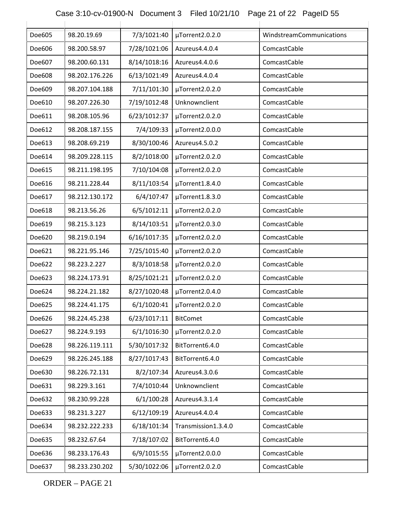### Case 3:10-cv-01900-N Document 3 Filed 10/21/10 Page 21 of 22 PageID 55

| Doe605 | 98.20.19.69    | 7/3/1021:40  | µTorrent2.0.2.0     | WindstreamCommunications |
|--------|----------------|--------------|---------------------|--------------------------|
| Doe606 | 98.200.58.97   | 7/28/1021:06 | Azureus4.4.0.4      | ComcastCable             |
| Doe607 | 98.200.60.131  | 8/14/1018:16 | Azureus4.4.0.6      | ComcastCable             |
| Doe608 | 98.202.176.226 | 6/13/1021:49 | Azureus4.4.0.4      | ComcastCable             |
| Doe609 | 98.207.104.188 | 7/11/101:30  | µTorrent2.0.2.0     | ComcastCable             |
| Doe610 | 98.207.226.30  | 7/19/1012:48 | Unknownclient       | ComcastCable             |
| Doe611 | 98.208.105.96  | 6/23/1012:37 | µTorrent2.0.2.0     | ComcastCable             |
| Doe612 | 98.208.187.155 | 7/4/109:33   | µTorrent2.0.0.0     | ComcastCable             |
| Doe613 | 98.208.69.219  | 8/30/100:46  | Azureus4.5.0.2      | ComcastCable             |
| Doe614 | 98.209.228.115 | 8/2/1018:00  | µTorrent2.0.2.0     | ComcastCable             |
| Doe615 | 98.211.198.195 | 7/10/104:08  | µTorrent2.0.2.0     | ComcastCable             |
| Doe616 | 98.211.228.44  | 8/11/103:54  | µTorrent1.8.4.0     | ComcastCable             |
| Doe617 | 98.212.130.172 | 6/4/107:47   | µTorrent1.8.3.0     | ComcastCable             |
| Doe618 | 98.213.56.26   | 6/5/1012:11  | µTorrent2.0.2.0     | ComcastCable             |
| Doe619 | 98.215.3.123   | 8/14/103:51  | µTorrent2.0.3.0     | ComcastCable             |
| Doe620 | 98.219.0.194   | 6/16/1017:35 | µTorrent2.0.2.0     | ComcastCable             |
| Doe621 | 98.221.95.146  | 7/25/1015:40 | µTorrent2.0.2.0     | ComcastCable             |
| Doe622 | 98.223.2.227   | 8/3/1018:58  | µTorrent2.0.2.0     | ComcastCable             |
| Doe623 | 98.224.173.91  | 8/25/1021:21 | µTorrent2.0.2.0     | ComcastCable             |
| Doe624 | 98.224.21.182  | 8/27/1020:48 | µTorrent2.0.4.0     | ComcastCable             |
| Doe625 | 98.224.41.175  | 6/1/1020:41  | µTorrent2.0.2.0     | ComcastCable             |
| Doe626 | 98.224.45.238  | 6/23/1017:11 | <b>BitComet</b>     | ComcastCable             |
| Doe627 | 98.224.9.193   | 6/1/1016:30  | µTorrent2.0.2.0     | ComcastCable             |
| Doe628 | 98.226.119.111 | 5/30/1017:32 | BitTorrent6.4.0     | ComcastCable             |
| Doe629 | 98.226.245.188 | 8/27/1017:43 | BitTorrent6.4.0     | ComcastCable             |
| Doe630 | 98.226.72.131  | 8/2/107:34   | Azureus4.3.0.6      | ComcastCable             |
| Doe631 | 98.229.3.161   | 7/4/1010:44  | Unknownclient       | ComcastCable             |
| Doe632 | 98.230.99.228  | 6/1/100:28   | Azureus4.3.1.4      | ComcastCable             |
| Doe633 | 98.231.3.227   | 6/12/109:19  | Azureus4.4.0.4      | ComcastCable             |
| Doe634 | 98.232.222.233 | 6/18/101:34  | Transmission1.3.4.0 | ComcastCable             |
| Doe635 | 98.232.67.64   | 7/18/107:02  | BitTorrent6.4.0     | ComcastCable             |
| Doe636 | 98.233.176.43  | 6/9/1015:55  | µTorrent2.0.0.0     | ComcastCable             |
| Doe637 | 98.233.230.202 | 5/30/1022:06 | µTorrent2.0.2.0     | ComcastCable             |